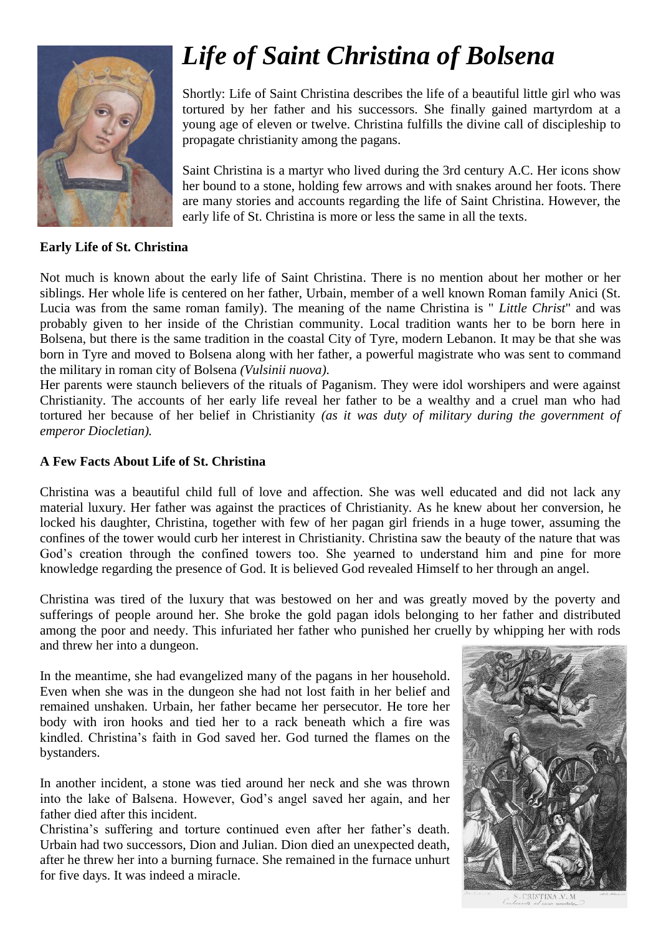

## *Life of Saint Christina of Bolsena*

Shortly: Life of Saint Christina describes the life of a beautiful little girl who was tortured by her father and his successors. She finally gained martyrdom at a young age of eleven or twelve. Christina fulfills the divine call of discipleship to propagate christianity among the pagans.

Saint Christina is a martyr who lived during the 3rd century A.C. Her icons show her bound to a stone, holding few arrows and with snakes around her foots. There are many stories and accounts regarding the life of Saint Christina. However, the early life of St. Christina is more or less the same in all the texts.

## **Early Life of St. Christina**

Not much is known about the early life of Saint Christina. There is no mention about her mother or her siblings. Her whole life is centered on her father, Urbain, member of a well known Roman family Anici (St. Lucia was from the same roman family). The meaning of the name Christina is " *Little Christ*" and was probably given to her inside of the Christian community. Local tradition wants her to be born here in Bolsena, but there is the same tradition in the coastal City of Tyre, modern Lebanon. It may be that she was born in Tyre and moved to Bolsena along with her father, a powerful magistrate who was sent to command the military in roman city of Bolsena *(Vulsinii nuova)*.

Her parents were staunch believers of the rituals of Paganism. They were idol worshipers and were against Christianity. The accounts of her early life reveal her father to be a wealthy and a cruel man who had tortured her because of her belief in Christianity *(as it was duty of military during the government of emperor Diocletian).*

## **A Few Facts About Life of St. Christina**

Christina was a beautiful child full of love and affection. She was well educated and did not lack any material luxury. Her father was against the practices of Christianity. As he knew about her conversion, he locked his daughter, Christina, together with few of her pagan girl friends in a huge tower, assuming the confines of the tower would curb her interest in Christianity. Christina saw the beauty of the nature that was God's creation through the confined towers too. She yearned to understand him and pine for more knowledge regarding the presence of God. It is believed God revealed Himself to her through an angel.

Christina was tired of the luxury that was bestowed on her and was greatly moved by the poverty and sufferings of people around her. She broke the gold pagan idols belonging to her father and distributed among the poor and needy. This infuriated her father who punished her cruelly by whipping her with rods and threw her into a dungeon.

In the meantime, she had evangelized many of the pagans in her household. Even when she was in the dungeon she had not lost faith in her belief and remained unshaken. Urbain, her father became her persecutor. He tore her body with iron hooks and tied her to a rack beneath which a fire was kindled. Christina's faith in God saved her. God turned the flames on the bystanders.

In another incident, a stone was tied around her neck and she was thrown into the lake of Balsena. However, God's angel saved her again, and her father died after this incident.

Christina's suffering and torture continued even after her father's death. Urbain had two successors, Dion and Julian. Dion died an unexpected death, after he threw her into a burning furnace. She remained in the furnace unhurt for five days. It was indeed a miracle.



CRISTINA .